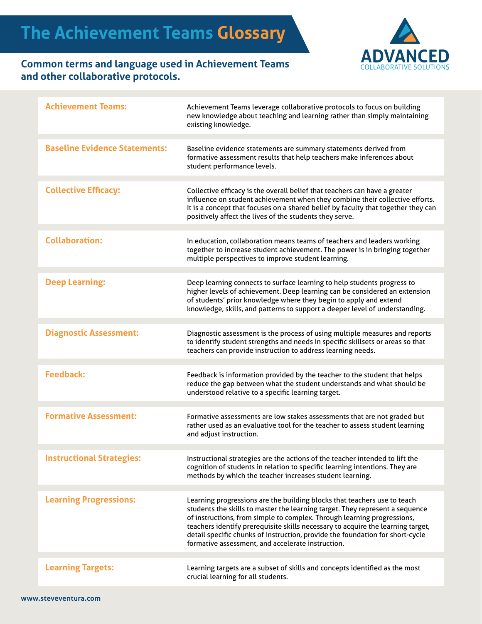

## **Common terms and language used in Achievement Teams and other collaborative protocols.**

| <b>Achievement Teams:</b>            | Achievement Teams leverage collaborative protocols to focus on building<br>new knowledge about teaching and learning rather than simply maintaining<br>existing knowledge.                                                                                                                                                                                                                                                                                   |
|--------------------------------------|--------------------------------------------------------------------------------------------------------------------------------------------------------------------------------------------------------------------------------------------------------------------------------------------------------------------------------------------------------------------------------------------------------------------------------------------------------------|
| <b>Baseline Evidence Statements:</b> | Baseline evidence statements are summary statements derived from<br>formative assessment results that help teachers make inferences about<br>student performance levels.                                                                                                                                                                                                                                                                                     |
| <b>Collective Efficacy:</b>          | Collective efficacy is the overall belief that teachers can have a greater<br>influence on student achievement when they combine their collective efforts.<br>It is a concept that focuses on a shared belief by faculty that together they can<br>positively affect the lives of the students they serve.                                                                                                                                                   |
| <b>Collaboration:</b>                | In education, collaboration means teams of teachers and leaders working<br>together to increase student achievement. The power is in bringing together<br>multiple perspectives to improve student learning.                                                                                                                                                                                                                                                 |
| <b>Deep Learning:</b>                | Deep learning connects to surface learning to help students progress to<br>higher levels of achievement. Deep learning can be considered an extension<br>of students' prior knowledge where they begin to apply and extend<br>knowledge, skills, and patterns to support a deeper level of understanding.                                                                                                                                                    |
| <b>Diagnostic Assessment:</b>        | Diagnostic assessment is the process of using multiple measures and reports<br>to identify student strengths and needs in specific skillsets or areas so that<br>teachers can provide instruction to address learning needs.                                                                                                                                                                                                                                 |
| <b>Feedback:</b>                     | Feedback is information provided by the teacher to the student that helps<br>reduce the gap between what the student understands and what should be<br>understood relative to a specific learning target.                                                                                                                                                                                                                                                    |
| <b>Formative Assessment:</b>         | Formative assessments are low stakes assessments that are not graded but<br>rather used as an evaluative tool for the teacher to assess student learning<br>and adjust instruction.                                                                                                                                                                                                                                                                          |
| <b>Instructional Strategies:</b>     | Instructional strategies are the actions of the teacher intended to lift the<br>cognition of students in relation to specific learning intentions. They are<br>methods by which the teacher increases student learning.                                                                                                                                                                                                                                      |
| <b>Learning Progressions:</b>        | Learning progressions are the building blocks that teachers use to teach<br>students the skills to master the learning target. They represent a sequence<br>of instructions, from simple to complex. Through learning progressions,<br>teachers identify prerequisite skills necessary to acquire the learning target,<br>detail specific chunks of instruction, provide the foundation for short-cycle<br>formative assessment, and accelerate instruction. |
| <b>Learning Targets:</b>             | Learning targets are a subset of skills and concepts identified as the most<br>crucial learning for all students.                                                                                                                                                                                                                                                                                                                                            |